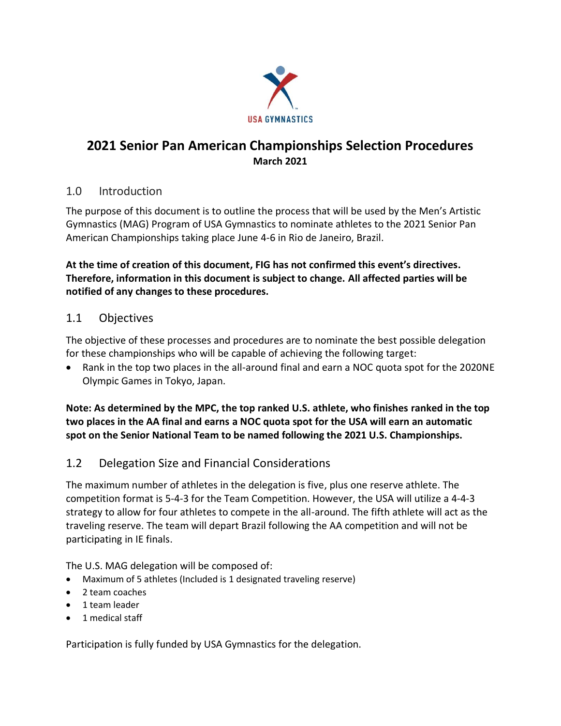

# **2021 Senior Pan American Championships Selection Procedures March 2021**

### 1.0 Introduction

The purpose of this document is to outline the process that will be used by the Men's Artistic Gymnastics (MAG) Program of USA Gymnastics to nominate athletes to the 2021 Senior Pan American Championships taking place June 4-6 in Rio de Janeiro, Brazil.

**At the time of creation of this document, FIG has not confirmed this event's directives. Therefore, information in this document is subject to change. All affected parties will be notified of any changes to these procedures.**

## 1.1 Objectives

The objective of these processes and procedures are to nominate the best possible delegation for these championships who will be capable of achieving the following target:

• Rank in the top two places in the all-around final and earn a NOC quota spot for the 2020NE Olympic Games in Tokyo, Japan.

**Note: As determined by the MPC, the top ranked U.S. athlete, who finishes ranked in the top two places in the AA final and earns a NOC quota spot for the USA will earn an automatic spot on the Senior National Team to be named following the 2021 U.S. Championships.**

## 1.2 Delegation Size and Financial Considerations

The maximum number of athletes in the delegation is five, plus one reserve athlete. The competition format is 5-4-3 for the Team Competition. However, the USA will utilize a 4-4-3 strategy to allow for four athletes to compete in the all-around. The fifth athlete will act as the traveling reserve. The team will depart Brazil following the AA competition and will not be participating in IE finals.

The U.S. MAG delegation will be composed of:

- Maximum of 5 athletes (Included is 1 designated traveling reserve)
- 2 team coaches
- 1 team leader
- 1 medical staff

Participation is fully funded by USA Gymnastics for the delegation.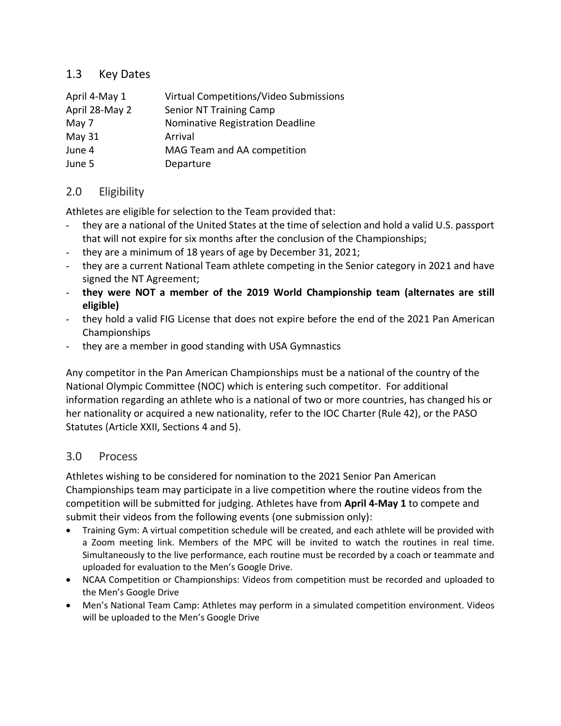### 1.3 Key Dates

| April 4-May 1  | Virtual Competitions/Video Submissions |
|----------------|----------------------------------------|
| April 28-May 2 | <b>Senior NT Training Camp</b>         |
| May 7          | Nominative Registration Deadline       |
| May 31         | Arrival                                |
| June 4         | MAG Team and AA competition            |
| June 5         | Departure                              |
|                |                                        |

### 2.0 Eligibility

Athletes are eligible for selection to the Team provided that:

- they are a national of the United States at the time of selection and hold a valid U.S. passport that will not expire for six months after the conclusion of the Championships;
- they are a minimum of 18 years of age by December 31, 2021;
- they are a current National Team athlete competing in the Senior category in 2021 and have signed the NT Agreement;
- **they were NOT a member of the 2019 World Championship team (alternates are still eligible)**
- they hold a valid FIG License that does not expire before the end of the 2021 Pan American Championships
- they are a member in good standing with USA Gymnastics

Any competitor in the Pan American Championships must be a national of the country of the National Olympic Committee (NOC) which is entering such competitor. For additional information regarding an athlete who is a national of two or more countries, has changed his or her nationality or acquired a new nationality, refer to the IOC Charter (Rule 42), or the PASO Statutes (Article XXII, Sections 4 and 5).

#### 3.0 Process

Athletes wishing to be considered for nomination to the 2021 Senior Pan American Championships team may participate in a live competition where the routine videos from the competition will be submitted for judging. Athletes have from **April 4-May 1** to compete and submit their videos from the following events (one submission only):

- Training Gym: A virtual competition schedule will be created, and each athlete will be provided with a Zoom meeting link. Members of the MPC will be invited to watch the routines in real time. Simultaneously to the live performance, each routine must be recorded by a coach or teammate and uploaded for evaluation to the Men's Google Drive.
- NCAA Competition or Championships: Videos from competition must be recorded and uploaded to the Men's Google Drive
- Men's National Team Camp: Athletes may perform in a simulated competition environment. Videos will be uploaded to the Men's Google Drive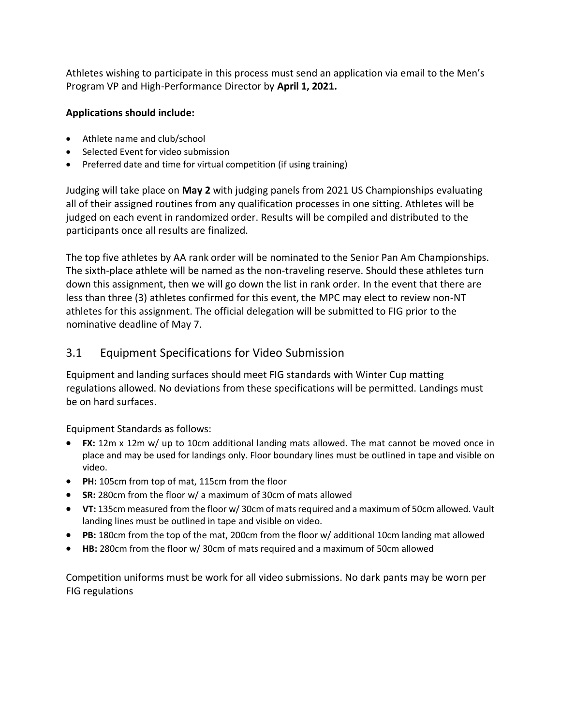Athletes wishing to participate in this process must send an application via email to the Men's Program VP and High-Performance Director by **April 1, 2021.**

#### **Applications should include:**

- Athlete name and club/school
- Selected Event for video submission
- Preferred date and time for virtual competition (if using training)

Judging will take place on **May 2** with judging panels from 2021 US Championships evaluating all of their assigned routines from any qualification processes in one sitting. Athletes will be judged on each event in randomized order. Results will be compiled and distributed to the participants once all results are finalized.

The top five athletes by AA rank order will be nominated to the Senior Pan Am Championships. The sixth-place athlete will be named as the non-traveling reserve. Should these athletes turn down this assignment, then we will go down the list in rank order. In the event that there are less than three (3) athletes confirmed for this event, the MPC may elect to review non-NT athletes for this assignment. The official delegation will be submitted to FIG prior to the nominative deadline of May 7.

### 3.1 Equipment Specifications for Video Submission

Equipment and landing surfaces should meet FIG standards with Winter Cup matting regulations allowed. No deviations from these specifications will be permitted. Landings must be on hard surfaces.

Equipment Standards as follows:

- **FX:** 12m x 12m w/ up to 10cm additional landing mats allowed. The mat cannot be moved once in place and may be used for landings only. Floor boundary lines must be outlined in tape and visible on video.
- **PH:** 105cm from top of mat, 115cm from the floor
- **SR:** 280cm from the floor w/ a maximum of 30cm of mats allowed
- **VT:** 135cm measured from the floor w/ 30cm of mats required and a maximum of 50cm allowed. Vault landing lines must be outlined in tape and visible on video.
- **PB:** 180cm from the top of the mat, 200cm from the floor w/ additional 10cm landing mat allowed
- **HB:** 280cm from the floor w/ 30cm of mats required and a maximum of 50cm allowed

Competition uniforms must be work for all video submissions. No dark pants may be worn per FIG regulations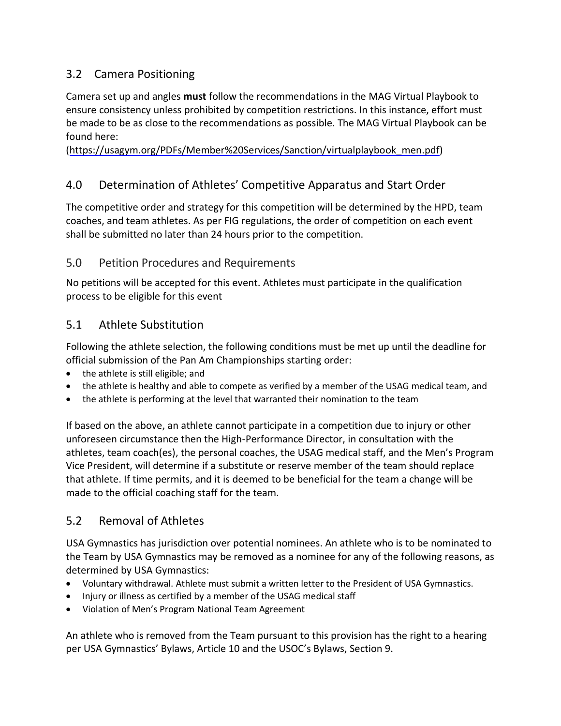# 3.2 Camera Positioning

Camera set up and angles **must** follow the recommendations in the MAG Virtual Playbook to ensure consistency unless prohibited by competition restrictions. In this instance, effort must be made to be as close to the recommendations as possible. The MAG Virtual Playbook can be found here:

[\(https://usagym.org/PDFs/Member%20Services/Sanction/virtualplaybook\\_men.pdf\)](https://usagym.org/PDFs/Member%20Services/Sanction/virtualplaybook_men.pdf)

# 4.0 Determination of Athletes' Competitive Apparatus and Start Order

The competitive order and strategy for this competition will be determined by the HPD, team coaches, and team athletes. As per FIG regulations, the order of competition on each event shall be submitted no later than 24 hours prior to the competition.

### 5.0 Petition Procedures and Requirements

No petitions will be accepted for this event. Athletes must participate in the qualification process to be eligible for this event

## 5.1 Athlete Substitution

Following the athlete selection, the following conditions must be met up until the deadline for official submission of the Pan Am Championships starting order:

- the athlete is still eligible; and
- the athlete is healthy and able to compete as verified by a member of the USAG medical team, and
- the athlete is performing at the level that warranted their nomination to the team

If based on the above, an athlete cannot participate in a competition due to injury or other unforeseen circumstance then the High-Performance Director, in consultation with the athletes, team coach(es), the personal coaches, the USAG medical staff, and the Men's Program Vice President, will determine if a substitute or reserve member of the team should replace that athlete. If time permits, and it is deemed to be beneficial for the team a change will be made to the official coaching staff for the team.

## 5.2 Removal of Athletes

USA Gymnastics has jurisdiction over potential nominees. An athlete who is to be nominated to the Team by USA Gymnastics may be removed as a nominee for any of the following reasons, as determined by USA Gymnastics:

- Voluntary withdrawal. Athlete must submit a written letter to the President of USA Gymnastics.
- Injury or illness as certified by a member of the USAG medical staff
- Violation of Men's Program National Team Agreement

An athlete who is removed from the Team pursuant to this provision has the right to a hearing per USA Gymnastics' Bylaws, Article 10 and the USOC's Bylaws, Section 9.